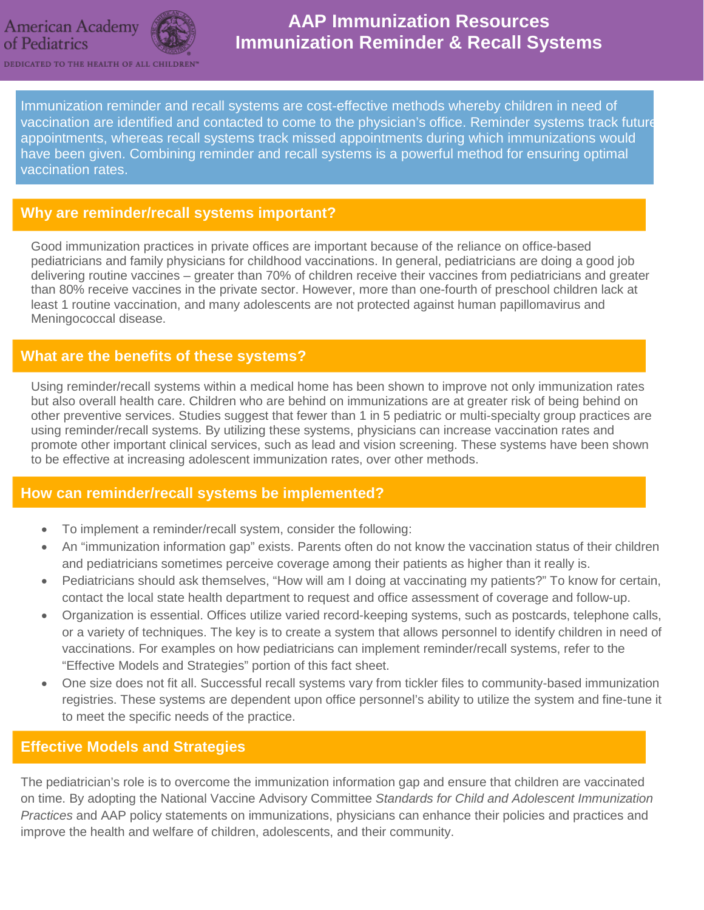



# **AAP Immunization Resources Immunization Reminder & Recall Systems**

DEDICATED TO THE HEALTH OF ALL CHILDREN

Immunization reminder and recall systems are cost-effective methods whereby children in need of vaccination are identified and contacted to come to the physician's office. Reminder systems track future appointments, whereas recall systems track missed appointments during which immunizations would have been given. Combining reminder and recall systems is a powerful method for ensuring optimal vaccination rates.

### **Why are reminder/recall systems important?**

Good immunization practices in private offices are important because of the reliance on office-based pediatricians and family physicians for childhood vaccinations. In general, pediatricians are doing a good job delivering routine vaccines – greater than 70% of children receive their vaccines from pediatricians and greater than 80% receive vaccines in the private sector. However, more than one-fourth of preschool children lack at least 1 routine vaccination, and many adolescents are not protected against human papillomavirus and Meningococcal disease.

### **What are the benefits of these systems?**

Using reminder/recall systems within a medical home has been shown to improve not only immunization rates but also overall health care. Children who are behind on immunizations are at greater risk of being behind on other preventive services. Studies suggest that fewer than 1 in 5 pediatric or multi-specialty group practices are using reminder/recall systems. By utilizing these systems, physicians can increase vaccination rates and promote other important clinical services, such as lead and vision screening. These systems have been shown to be effective at increasing adolescent immunization rates, over other methods.

### **How can reminder/recall systems be implemented?**

- To implement a reminder/recall system, consider the following:
- An "immunization information gap" exists. Parents often do not know the vaccination status of their children and pediatricians sometimes perceive coverage among their patients as higher than it really is.
- Pediatricians should ask themselves, "How will am I doing at vaccinating my patients?" To know for certain, contact the local state health department to request and office assessment of coverage and follow-up.
- Organization is essential. Offices utilize varied record-keeping systems, such as postcards, telephone calls, or a variety of techniques. The key is to create a system that allows personnel to identify children in need of vaccinations. For examples on how pediatricians can implement reminder/recall systems, refer to the "Effective Models and Strategies" portion of this fact sheet.
- One size does not fit all. Successful recall systems vary from tickler files to community-based immunization registries. These systems are dependent upon office personnel's ability to utilize the system and fine-tune it to meet the specific needs of the practice.

#### **Effective Models and Strategies**

The pediatrician's role is to overcome the immunization information gap and ensure that children are vaccinated on time. By adopting the National Vaccine Advisory Committee *Standards for Child and Adolescent Immunization Practices* and AAP policy statements on immunizations, physicians can enhance their policies and practices and improve the health and welfare of children, adolescents, and their community.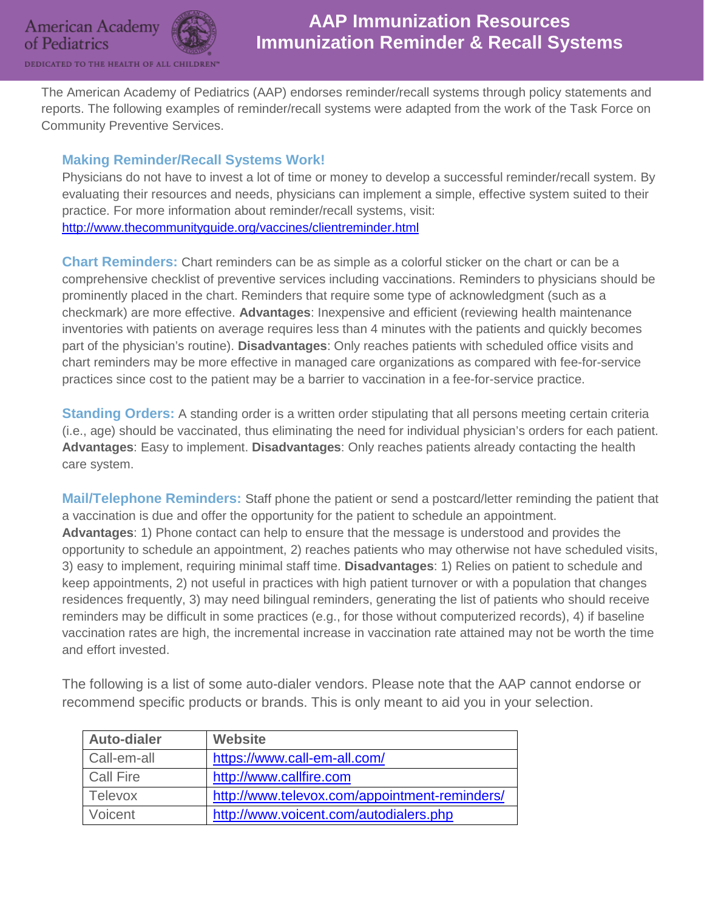



## **AAP Immunization Resources Immunization Reminder & Recall Systems**

DEDICATED TO THE HEALTH OF ALL CHILE

The American Academy of Pediatrics (AAP) endorses reminder/recall systems through policy statements and reports. The following examples of reminder/recall systems were adapted from the work of the Task Force on Community Preventive Services.

#### **Making Reminder/Recall Systems Work!**

Physicians do not have to invest a lot of time or money to develop a successful reminder/recall system. By evaluating their resources and needs, physicians can implement a simple, effective system suited to their practice. For more information about reminder/recall systems, visit: <http://www.thecommunityguide.org/vaccines/clientreminder.html>

**Chart Reminders:** Chart reminders can be as simple as a colorful sticker on the chart or can be a comprehensive checklist of preventive services including vaccinations. Reminders to physicians should be prominently placed in the chart. Reminders that require some type of acknowledgment (such as a checkmark) are more effective. **Advantages**: Inexpensive and efficient (reviewing health maintenance inventories with patients on average requires less than 4 minutes with the patients and quickly becomes part of the physician's routine). **Disadvantages**: Only reaches patients with scheduled office visits and chart reminders may be more effective in managed care organizations as compared with fee-for-service practices since cost to the patient may be a barrier to vaccination in a fee-for-service practice.

**Standing Orders:** A standing order is a written order stipulating that all persons meeting certain criteria (i.e., age) should be vaccinated, thus eliminating the need for individual physician's orders for each patient. **Advantages**: Easy to implement. **Disadvantages**: Only reaches patients already contacting the health care system.

**Mail/Telephone Reminders:** Staff phone the patient or send a postcard/letter reminding the patient that a vaccination is due and offer the opportunity for the patient to schedule an appointment. **Advantages**: 1) Phone contact can help to ensure that the message is understood and provides the opportunity to schedule an appointment, 2) reaches patients who may otherwise not have scheduled visits, 3) easy to implement, requiring minimal staff time. **Disadvantages**: 1) Relies on patient to schedule and keep appointments, 2) not useful in practices with high patient turnover or with a population that changes residences frequently, 3) may need bilingual reminders, generating the list of patients who should receive reminders may be difficult in some practices (e.g., for those without computerized records), 4) if baseline vaccination rates are high, the incremental increase in vaccination rate attained may not be worth the time and effort invested.

The following is a list of some auto-dialer vendors. Please note that the AAP cannot endorse or recommend specific products or brands. This is only meant to aid you in your selection.

| <b>Auto-dialer</b> | <b>Website</b>                                |
|--------------------|-----------------------------------------------|
| Call-em-all        | https://www.call-em-all.com/                  |
| <b>Call Fire</b>   | http://www.callfire.com                       |
| Televox            | http://www.televox.com/appointment-reminders/ |
| Voicent            | http://www.voicent.com/autodialers.php        |